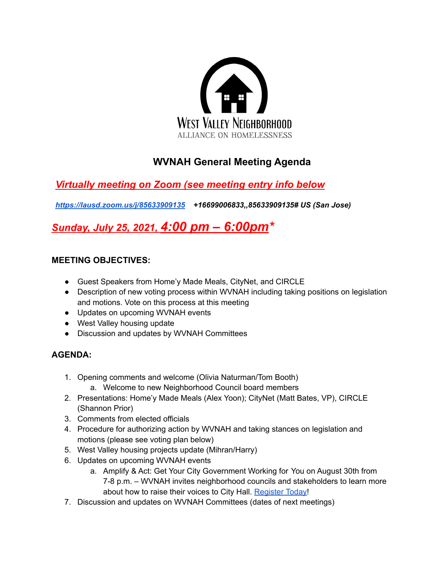

# **WVNAH General Meeting Agenda**

# *Virtually meeting on Zoom (see meeting entry info below*

*https://lausd.zoom.us/j/85633909135 +16699006833,,85633909135# US (San Jose)*

# *Sunday, July 25, 2021, 4:00 pm – 6:00pm\**

### **MEETING OBJECTIVES:**

- Guest Speakers from Home'y Made Meals, CityNet, and CIRCLE
- Description of new voting process within WVNAH including taking positions on legislation and motions. Vote on this process at this meeting
- Updates on upcoming WVNAH events
- West Valley housing update
- Discussion and updates by WVNAH Committees

## **AGENDA:**

- 1. Opening comments and welcome (Olivia Naturman/Tom Booth) a. Welcome to new Neighborhood Council board members
- 2. Presentations: Home'y Made Meals (Alex Yoon); CityNet (Matt Bates, VP), CIRCLE (Shannon Prior)
- 3. Comments from elected officials
- 4. Procedure for authorizing action by WVNAH and taking stances on legislation and motions (please see voting plan below)
- 5. West Valley housing projects update (Mihran/Harry)
- 6. Updates on upcoming WVNAH events
	- a. Amplify & Act: Get Your City Government Working for You on August 30th from 7-8 p.m. – WVNAH invites neighborhood councils and stakeholders to learn more about how to raise their voices to City Hall. Register Today!
- 7. Discussion and updates on WVNAH Committees (dates of next meetings)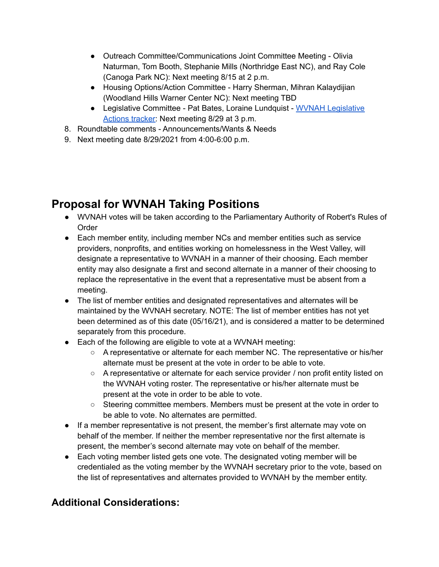- Outreach Committee/Communications Joint Committee Meeting Olivia Naturman, Tom Booth, Stephanie Mills (Northridge East NC), and Ray Cole (Canoga Park NC): Next meeting 8/15 at 2 p.m.
- Housing Options/Action Committee Harry Sherman, Mihran Kalaydijian (Woodland Hills Warner Center NC): Next meeting TBD
- Legislative Committee Pat Bates, Loraine Lundquist WVNAH Legislative Actions tracker: Next meeting 8/29 at 3 p.m.
- 8. Roundtable comments Announcements/Wants & Needs
- 9. Next meeting date 8/29/2021 from 4:00-6:00 p.m.

# **Proposal for WVNAH Taking Positions**

- WVNAH votes will be taken according to the Parliamentary Authority of Robert's Rules of Order
- Each member entity, including member NCs and member entities such as service providers, nonprofits, and entities working on homelessness in the West Valley, will designate a representative to WVNAH in a manner of their choosing. Each member entity may also designate a first and second alternate in a manner of their choosing to replace the representative in the event that a representative must be absent from a meeting.
- The list of member entities and designated representatives and alternates will be maintained by the WVNAH secretary. NOTE: The list of member entities has not yet been determined as of this date (05/16/21), and is considered a matter to be determined separately from this procedure.
- Each of the following are eligible to vote at a WVNAH meeting:
	- A representative or alternate for each member NC. The representative or his/her alternate must be present at the vote in order to be able to vote.
	- A representative or alternate for each service provider / non profit entity listed on the WVNAH voting roster. The representative or his/her alternate must be present at the vote in order to be able to vote.
	- Steering committee members. Members must be present at the vote in order to be able to vote. No alternates are permitted.
- If a member representative is not present, the member's first alternate may vote on behalf of the member. If neither the member representative nor the first alternate is present, the member's second alternate may vote on behalf of the member.
- Each voting member listed gets one vote. The designated voting member will be credentialed as the voting member by the WVNAH secretary prior to the vote, based on the list of representatives and alternates provided to WVNAH by the member entity.

## **Additional Considerations:**